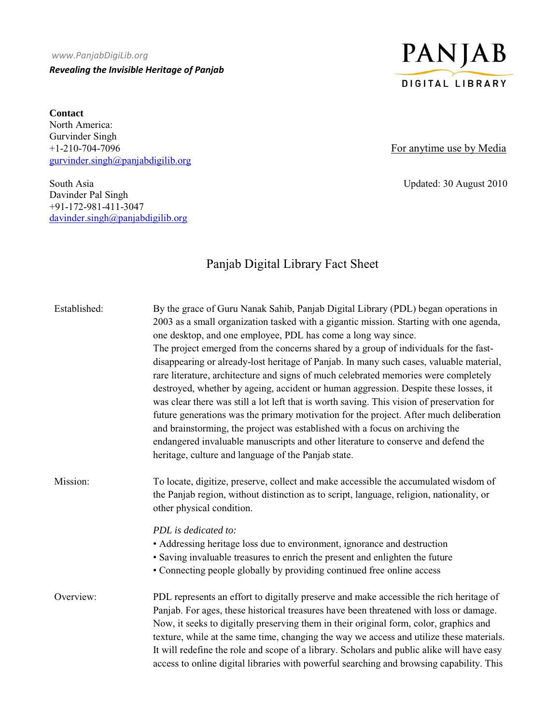## *www.PanjabDigiLib.org Revealing the Invisible Heritage of Panjab*

**Contact**  North America: Gurvinder Singh +1-210-704-7096 For anytime use by Media gurvinder.singh@panjabdigilib.org

South Asia Updated: 30 August 2010 Davinder Pal Singh +91-172-981-411-3047 davinder.singh@panjabdigilib.org



## Panjab Digital Library Fact Sheet

| Established: | By the grace of Guru Nanak Sahib, Panjab Digital Library (PDL) began operations in<br>2003 as a small organization tasked with a gigantic mission. Starting with one agenda,<br>one desktop, and one employee, PDL has come a long way since.<br>The project emerged from the concerns shared by a group of individuals for the fast-<br>disappearing or already-lost heritage of Panjab. In many such cases, valuable material,<br>rare literature, architecture and signs of much celebrated memories were completely<br>destroyed, whether by ageing, accident or human aggression. Despite these losses, it<br>was clear there was still a lot left that is worth saving. This vision of preservation for<br>future generations was the primary motivation for the project. After much deliberation<br>and brainstorming, the project was established with a focus on archiving the<br>endangered invaluable manuscripts and other literature to conserve and defend the<br>heritage, culture and language of the Panjab state. |
|--------------|-------------------------------------------------------------------------------------------------------------------------------------------------------------------------------------------------------------------------------------------------------------------------------------------------------------------------------------------------------------------------------------------------------------------------------------------------------------------------------------------------------------------------------------------------------------------------------------------------------------------------------------------------------------------------------------------------------------------------------------------------------------------------------------------------------------------------------------------------------------------------------------------------------------------------------------------------------------------------------------------------------------------------------------|
| Mission:     | To locate, digitize, preserve, collect and make accessible the accumulated wisdom of<br>the Panjab region, without distinction as to script, language, religion, nationality, or<br>other physical condition.                                                                                                                                                                                                                                                                                                                                                                                                                                                                                                                                                                                                                                                                                                                                                                                                                       |
|              | PDL is dedicated to:<br>• Addressing heritage loss due to environment, ignorance and destruction<br>• Saving invaluable treasures to enrich the present and enlighten the future<br>• Connecting people globally by providing continued free online access                                                                                                                                                                                                                                                                                                                                                                                                                                                                                                                                                                                                                                                                                                                                                                          |
| Overview:    | PDL represents an effort to digitally preserve and make accessible the rich heritage of<br>Panjab. For ages, these historical treasures have been threatened with loss or damage.<br>Now, it seeks to digitally preserving them in their original form, color, graphics and<br>texture, while at the same time, changing the way we access and utilize these materials.<br>It will redefine the role and scope of a library. Scholars and public alike will have easy<br>access to online digital libraries with powerful searching and browsing capability. This                                                                                                                                                                                                                                                                                                                                                                                                                                                                   |